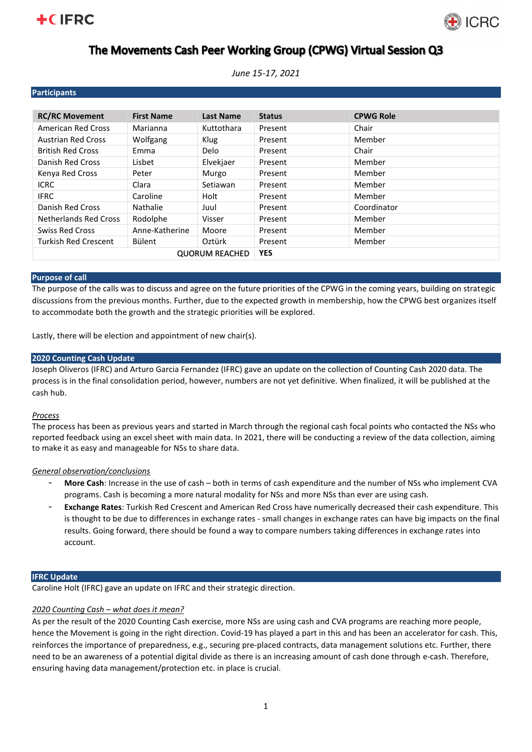# **+CIFRC**



# The Movements Cash Peer Working Group (CPWG) Virtual Session Q3

*June 15-17, 2021*

| <b>Participants</b>          |                   |             |               |                  |
|------------------------------|-------------------|-------------|---------------|------------------|
|                              |                   |             |               |                  |
| <b>RC/RC Movement</b>        | <b>First Name</b> | Last Name   | <b>Status</b> | <b>CPWG Role</b> |
| <b>American Red Cross</b>    | Marianna          | Kuttothara  | Present       | Chair            |
| <b>Austrian Red Cross</b>    | Wolfgang          | Klug        | Present       | Member           |
| <b>British Red Cross</b>     | Emma              | <b>Delo</b> | Present       | Chair            |
| Danish Red Cross             | Lisbet            | Elvekjaer   | Present       | Member           |
| Kenya Red Cross              | Peter             | Murgo       | Present       | Member           |
| <b>ICRC</b>                  | Clara             | Setiawan    | Present       | Member           |
| <b>IFRC</b>                  | Caroline          | Holt        | Present       | Member           |
| Danish Red Cross             | Nathalie          | Juul        | Present       | Coordinator      |
| <b>Netherlands Red Cross</b> | Rodolphe          | Visser      | Present       | Member           |
| <b>Swiss Red Cross</b>       | Anne-Katherine    | Moore       | Present       | Member           |
| <b>Turkish Red Crescent</b>  | Bülent            | Oztürk      | Present       | Member           |
| <b>QUORUM REACHED</b>        |                   |             | <b>YES</b>    |                  |

### **Purpose of call**

The purpose of the calls was to discuss and agree on the future priorities of the CPWG in the coming years, building on strategic discussions from the previous months. Further, due to the expected growth in membership, how the CPWG best organizes itself to accommodate both the growth and the strategic priorities will be explored.

Lastly, there will be election and appointment of new chair(s).

## **2020 Counting Cash Update**

Joseph Oliveros (IFRC) and Arturo Garcia Fernandez (IFRC) gave an update on the collection of Counting Cash 2020 data. The process is in the final consolidation period, however, numbers are not yet definitive. When finalized, it will be published at the cash hub.

## *Process*

The process has been as previous years and started in March through the regional cash focal points who contacted the NSs who reported feedback using an excel sheet with main data. In 2021, there will be conducting a review of the data collection, aiming to make it as easy and manageable for NSs to share data.

## *General observation/conclusions*

- **More Cash**: Increase in the use of cash both in terms of cash expenditure and the number of NSs who implement CVA programs. Cash is becoming a more natural modality for NSs and more NSs than ever are using cash.
- **Exchange Rates**: Turkish Red Crescent and American Red Cross have numerically decreased their cash expenditure. This is thought to be due to differences in exchange rates - small changes in exchange rates can have big impacts on the final results. Going forward, there should be found a way to compare numbers taking differences in exchange rates into account.

### **IFRC Update**

Caroline Holt (IFRC) gave an update on IFRC and their strategic direction.

## *2020 Counting Cash – what does it mean?*

As per the result of the 2020 Counting Cash exercise, more NSs are using cash and CVA programs are reaching more people, hence the Movement is going in the right direction. Covid-19 has played a part in this and has been an accelerator for cash. This, reinforces the importance of preparedness, e.g., securing pre-placed contracts, data management solutions etc. Further, there need to be an awareness of a potential digital divide as there is an increasing amount of cash done through e-cash. Therefore, ensuring having data management/protection etc. in place is crucial.